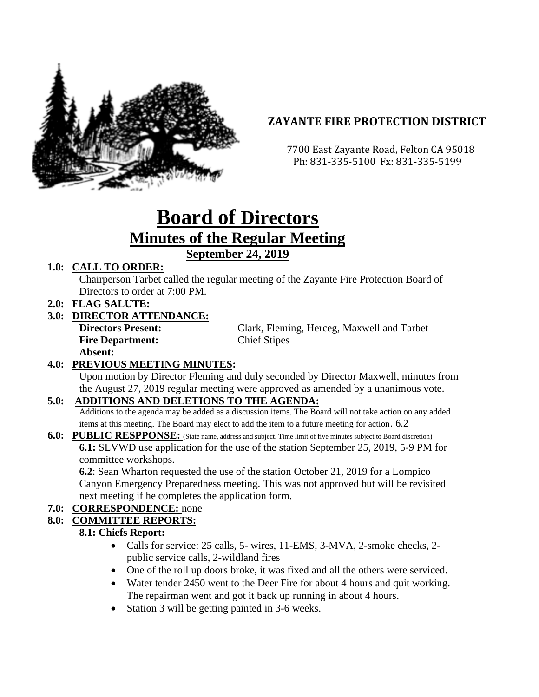

## **ZAYANTE FIRE PROTECTION DISTRICT**

 7700 East Zayante Road, Felton CA 95018 Ph: 831-335-5100 Fx: 831-335-5199

# **Board of Directors Minutes of the Regular Meeting September 24, 2019**

#### **1.0: CALL TO ORDER:**

Chairperson Tarbet called the regular meeting of the Zayante Fire Protection Board of Directors to order at 7:00 PM.

**2.0: FLAG SALUTE:**

#### **3.0: DIRECTOR ATTENDANCE:**

**Fire Department:** Chief Stipes **Absent:** 

**Directors Present:** Clark, Fleming, Herceg, Maxwell and Tarbet

## **4.0: PREVIOUS MEETING MINUTES:**

Upon motion by Director Fleming and duly seconded by Director Maxwell, minutes from the August 27, 2019 regular meeting were approved as amended by a unanimous vote.

#### **5.0: ADDITIONS AND DELETIONS TO THE AGENDA:**

Additions to the agenda may be added as a discussion items. The Board will not take action on any added items at this meeting. The Board may elect to add the item to a future meeting for action. 6.2

#### **6.0: PUBLIC RESPPONSE:** (State name, address and subject. Time limit of five minutes subject to Board discretion)

**6.1:** SLVWD use application for the use of the station September 25, 2019, 5-9 PM for committee workshops.

**6.2**: Sean Wharton requested the use of the station October 21, 2019 for a Lompico Canyon Emergency Preparedness meeting. This was not approved but will be revisited next meeting if he completes the application form.

## **7.0: CORRESPONDENCE:** none

#### **8.0: COMMITTEE REPORTS:**

#### **8.1: Chiefs Report:**

- Calls for service: 25 calls, 5- wires, 11-EMS, 3-MVA, 2-smoke checks, 2 public service calls, 2-wildland fires
- One of the roll up doors broke, it was fixed and all the others were serviced.
- Water tender 2450 went to the Deer Fire for about 4 hours and quit working. The repairman went and got it back up running in about 4 hours.
- Station 3 will be getting painted in 3-6 weeks.